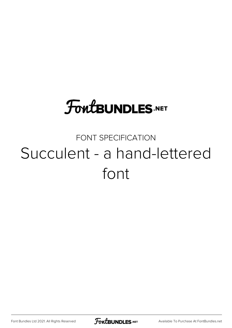## **FoutBUNDLES.NET**

## FONT SPECIFICATION Succulent - a hand-lettered font

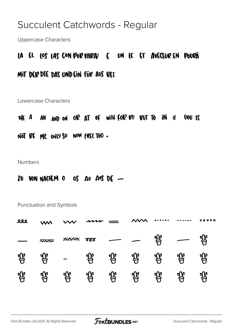#### Succulent Catchwords - Regular

**Uppercase Characters** 

### LA EL LOS LAS CONPORPARAN E UN LE ET AVECSUR EN POURA MIT DER DIE DAS UND EIN FÜR AUS BEI

Lowercase Characters

AN AND ON OR AT OF WITH FOR BY BUT TO IN IF YOU IS  $\pi$ **HE**  $A$ NOT BE ME ONLY SO NOW FREE TOO.

**Numbers** 

#### ZU VON NACHEM O OS AO AOS DE -

Punctuation and Symbols

| ele |                                                                              | $m w w \sim$ |  | $\sim$ $\sim$ |    |  |
|-----|------------------------------------------------------------------------------|--------------|--|---------------|----|--|
|     |                                                                              | $\sim$       |  |               | க் |  |
|     |                                                                              |              |  |               |    |  |
|     | $\}$ j $\phi$ $\epsilon$ $\in$ $\in$ $\in$ $\frac{1}{2}$ $\in$ $\frac{1}{2}$ |              |  |               |    |  |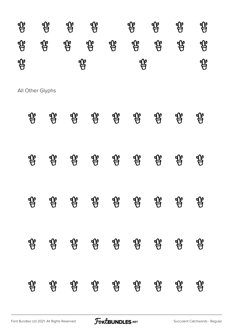

All Other Glyphs

### À Á Â Ã Ä Å Æ Ç È ÉÊËÌÍÎÏ  $\tilde{\rm N}$  $\mathsf{P}$ ÒÓÔÕÖרÙ  $\dot{u}$ ÜÝÞßàáâ  $\hat{\bm{\cup}}$ ã å æç è é ê ë ä  $\blacksquare$

FoutBUNDLES.NET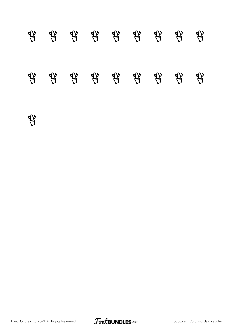# í î ï ð ñ ò ó ô õ ö ÷ ø ù ú û ü ý þ ÿ

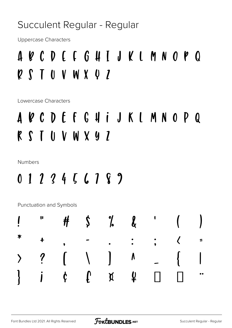### Succulent Regular - Regular

**Uppercase Characters** 

## A & C D E E G H I J K L M N O P Q **2 S T U V W X V Z**

Lowercase Characters

## A V C D E F G H i J K L M N O P Q **R S T U V W X Y Z**

**Numbers** 

0 1 2 3 4 5 6 7 8 9

Punctuation and Symbols

|  |  |  | * + , - . : ; $\langle$ =                                                                                                                                                                                                                                                                                                                                                                                                                                        |  |
|--|--|--|------------------------------------------------------------------------------------------------------------------------------------------------------------------------------------------------------------------------------------------------------------------------------------------------------------------------------------------------------------------------------------------------------------------------------------------------------------------|--|
|  |  |  | $\begin{array}{cccc} \text{\bf{?}} & \text{\bf{?}} & \text{\bf{?}} & \text{\bf{?}} & \text{\bf{?}} & \text{\bf{?}} & \text{\bf{?}} & \text{\bf{?}} & \text{\bf{?}} & \text{\bf{?}} & \text{\bf{?}} & \text{\bf{?}} & \text{\bf{?}} & \text{\bf{?}} & \text{\bf{?}} & \text{\bf{?}} & \text{\bf{?}} & \text{\bf{?}} & \text{\bf{?}} & \text{\bf{?}} & \text{\bf{?}} & \text{\bf{?}} & \text{\bf{?}} & \text{\bf{?}} & \text{\bf{?}} & \text{\bf{?}} & \text{\bf{$ |  |
|  |  |  | $\}$ i $\uparrow$ $f$ $\uparrow$ $\downarrow$ $\downarrow$ $\uparrow$                                                                                                                                                                                                                                                                                                                                                                                            |  |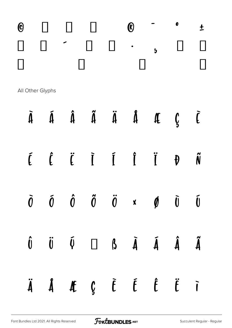|  | $\circledcirc$ a $\circledcirc$ a $\circledcirc$ |                             |  |                                     | $\frac{1}{\sqrt{1-\frac{1}{2}}}$ |
|--|--------------------------------------------------|-----------------------------|--|-------------------------------------|----------------------------------|
|  | $2 \quad 3 \quad 4 \quad \mu \quad \eta \quad .$ |                             |  | $\begin{matrix} 1 & 0 \end{matrix}$ |                                  |
|  |                                                  | $\frac{1}{4}$ $\frac{1}{2}$ |  |                                     | $\frac{3}{4}$                    |

All Other Glyphs

|  | $\tilde{A}$ $\tilde{A}$ $\tilde{A}$ $\tilde{A}$ $\tilde{A}$ $\tilde{A}$ $\tilde{C}$                                                                                                                                                                                                                    |  |  |  |
|--|--------------------------------------------------------------------------------------------------------------------------------------------------------------------------------------------------------------------------------------------------------------------------------------------------------|--|--|--|
|  | $\begin{matrix} \hat{I} & \hat{I} & \hat{I} & \hat{I} & \hat{I} & \hat{I} & \hat{I} & \hat{N} \end{matrix}$                                                                                                                                                                                            |  |  |  |
|  | $\tilde{0}$ $\tilde{0}$ $\tilde{0}$ $\tilde{0}$ $\tilde{0}$ $\tilde{0}$ $\tilde{0}$ $\tilde{0}$ $\tilde{0}$                                                                                                                                                                                            |  |  |  |
|  | $\hat{\mathbf{U}} \quad \  \  \, \hat{\mathbf{U}} \quad \  \  \, \hat{\mathbf{U}} \quad \  \  \, \mathbf{D} \quad \  \  \, \mathbf{B} \quad \  \  \, \hat{\mathbf{A}} \quad \  \  \, \hat{\mathbf{A}} \quad \  \  \, \hat{\mathbf{A}} \quad \  \  \, \hat{\mathbf{A}} \quad \  \  \, \hat{\mathbf{A}}$ |  |  |  |
|  | ÄÅÆÇĒÉ Ë Ï                                                                                                                                                                                                                                                                                             |  |  |  |